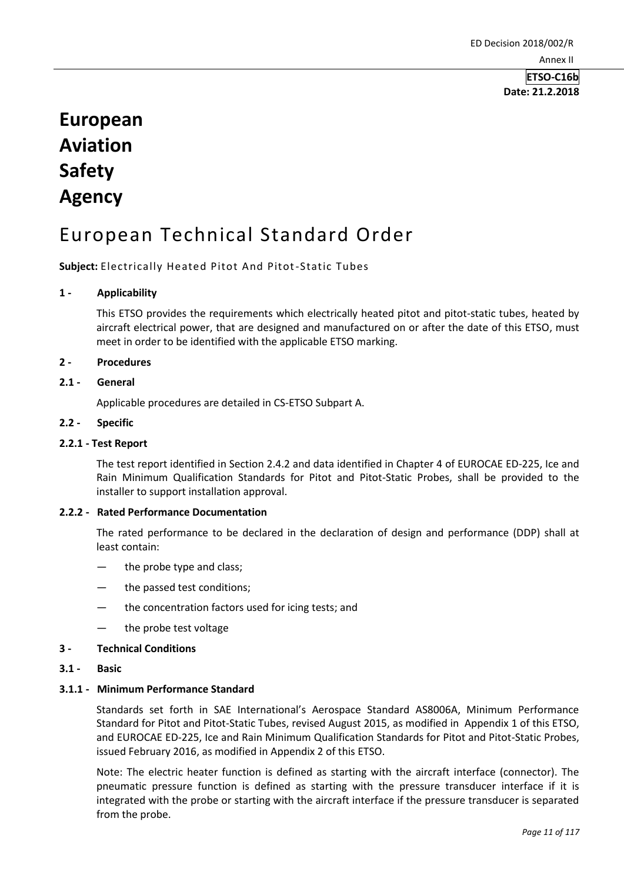# **European Aviation Safety Agency**

# European Technical Standard Order

**Subject:** Electrically Heated Pitot And Pitot-Static Tubes

#### **1 - Applicability**

This ETSO provides the requirements which electrically heated pitot and pitot-static tubes, heated by aircraft electrical power, that are designed and manufactured on or after the date of this ETSO, must meet in order to be identified with the applicable ETSO marking.

#### **2 - Procedures**

#### **2.1 - General**

Applicable procedures are detailed in CS-ETSO Subpart A.

#### **2.2 - Specific**

#### **2.2.1 - Test Report**

The test report identified in Section 2.4.2 and data identified in Chapter 4 of EUROCAE ED-225, Ice and Rain Minimum Qualification Standards for Pitot and Pitot-Static Probes, shall be provided to the installer to support installation approval.

#### **2.2.2 - Rated Performance Documentation**

The rated performance to be declared in the declaration of design and performance (DDP) shall at least contain:

- the probe type and class;
- the passed test conditions;
- the concentration factors used for icing tests; and
- the probe test voltage

#### **3 - Technical Conditions**

#### **3.1 - Basic**

### **3.1.1 - Minimum Performance Standard**

Standards set forth in SAE International's Aerospace Standard AS8006A, Minimum Performance Standard for Pitot and Pitot-Static Tubes, revised August 2015, as modified in Appendix 1 of this ETSO, and EUROCAE ED-225, Ice and Rain Minimum Qualification Standards for Pitot and Pitot-Static Probes, issued February 2016, as modified in Appendix 2 of this ETSO.

Note: The electric heater function is defined as starting with the aircraft interface (connector). The pneumatic pressure function is defined as starting with the pressure transducer interface if it is integrated with the probe or starting with the aircraft interface if the pressure transducer is separated from the probe.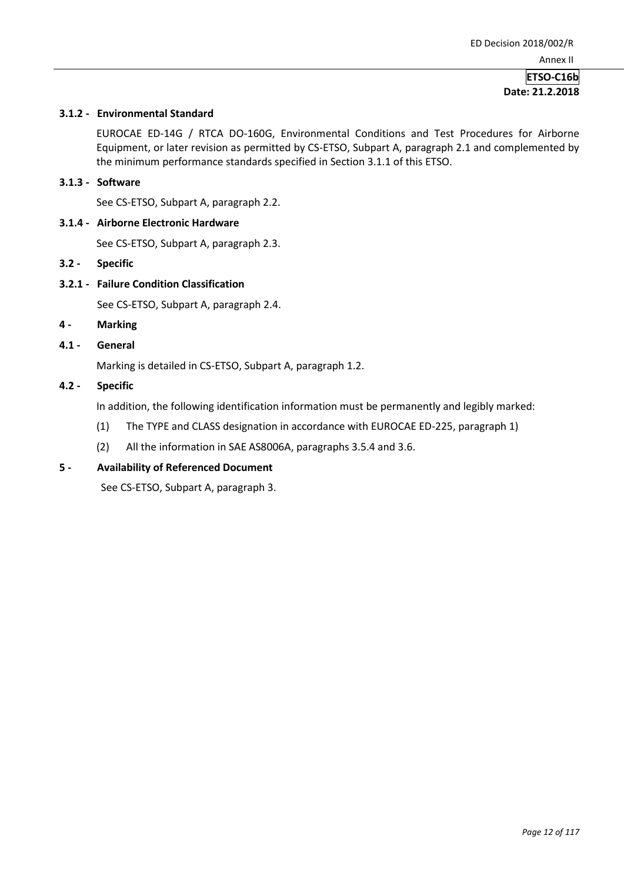#### **3.1.2 - Environmental Standard**

EUROCAE ED-14G / RTCA DO-160G, Environmental Conditions and Test Procedures for Airborne Equipment, or later revision as permitted by CS-ETSO, Subpart A, paragraph 2.1 and complemented by the minimum performance standards specified in Section 3.1.1 of this ETSO.

#### **3.1.3 - Software**

See CS-ETSO, Subpart A, paragraph 2.2.

#### **3.1.4 - Airborne Electronic Hardware**

See CS-ETSO, Subpart A, paragraph 2.3.

- **3.2 - Specific**
- **3.2.1 - Failure Condition Classification**

See CS-ETSO, Subpart A, paragraph 2.4.

- **4 - Marking**
- **4.1 - General**

Marking is detailed in CS-ETSO, Subpart A, paragraph 1.2.

#### **4.2 - Specific**

In addition, the following identification information must be permanently and legibly marked:

- (1) The TYPE and CLASS designation in accordance with EUROCAE ED-225, paragraph 1)
- (2) All the information in SAE AS8006A, paragraphs 3.5.4 and 3.6.

#### **5 - Availability of Referenced Document**

See CS-ETSO, Subpart A, paragraph 3.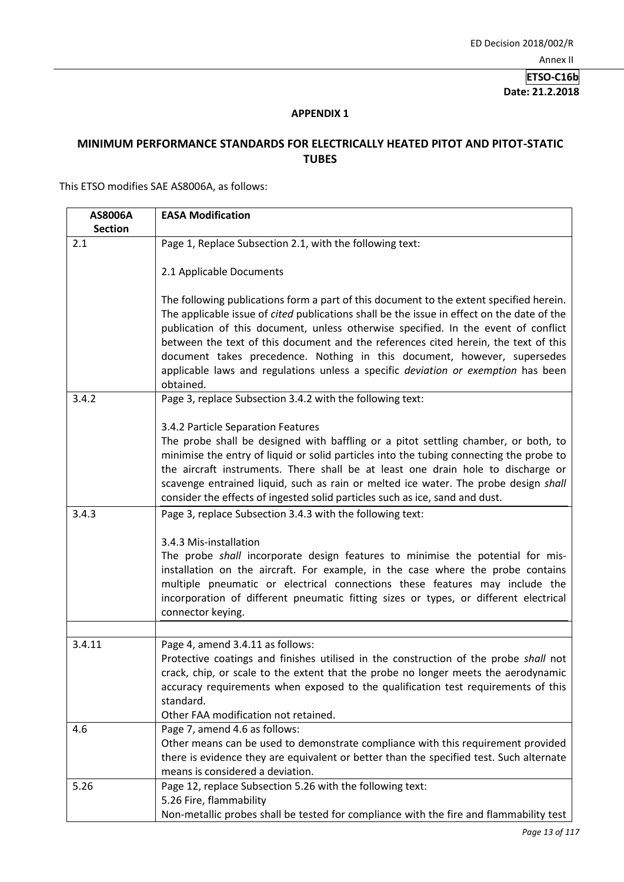## **APPENDIX 1**

## **MINIMUM PERFORMANCE STANDARDS FOR ELECTRICALLY HEATED PITOT AND PITOT-STATIC TUBES**

This ETSO modifies SAE AS8006A, as follows:

| AS8006A        | <b>EASA Modification</b>                                                                                                                                                         |
|----------------|----------------------------------------------------------------------------------------------------------------------------------------------------------------------------------|
| <b>Section</b> |                                                                                                                                                                                  |
| 2.1            | Page 1, Replace Subsection 2.1, with the following text:                                                                                                                         |
|                |                                                                                                                                                                                  |
|                | 2.1 Applicable Documents                                                                                                                                                         |
|                |                                                                                                                                                                                  |
|                | The following publications form a part of this document to the extent specified herein.                                                                                          |
|                | The applicable issue of cited publications shall be the issue in effect on the date of the<br>publication of this document, unless otherwise specified. In the event of conflict |
|                | between the text of this document and the references cited herein, the text of this                                                                                              |
|                | document takes precedence. Nothing in this document, however, supersedes                                                                                                         |
|                | applicable laws and regulations unless a specific deviation or exemption has been                                                                                                |
|                | obtained.                                                                                                                                                                        |
| 3.4.2          | Page 3, replace Subsection 3.4.2 with the following text:                                                                                                                        |
|                |                                                                                                                                                                                  |
|                | 3.4.2 Particle Separation Features                                                                                                                                               |
|                | The probe shall be designed with baffling or a pitot settling chamber, or both, to                                                                                               |
|                | minimise the entry of liquid or solid particles into the tubing connecting the probe to                                                                                          |
|                | the aircraft instruments. There shall be at least one drain hole to discharge or                                                                                                 |
|                | scavenge entrained liquid, such as rain or melted ice water. The probe design shall<br>consider the effects of ingested solid particles such as ice, sand and dust.              |
| 3.4.3          |                                                                                                                                                                                  |
|                | Page 3, replace Subsection 3.4.3 with the following text:                                                                                                                        |
|                | 3.4.3 Mis-installation                                                                                                                                                           |
|                | The probe shall incorporate design features to minimise the potential for mis-                                                                                                   |
|                | installation on the aircraft. For example, in the case where the probe contains                                                                                                  |
|                | multiple pneumatic or electrical connections these features may include the                                                                                                      |
|                | incorporation of different pneumatic fitting sizes or types, or different electrical                                                                                             |
|                | connector keying.                                                                                                                                                                |
|                |                                                                                                                                                                                  |
| 3.4.11         | Page 4, amend 3.4.11 as follows:                                                                                                                                                 |
|                | Protective coatings and finishes utilised in the construction of the probe shall not                                                                                             |
|                | crack, chip, or scale to the extent that the probe no longer meets the aerodynamic                                                                                               |
|                | accuracy requirements when exposed to the qualification test requirements of this                                                                                                |
|                | standard.<br>Other FAA modification not retained.                                                                                                                                |
| 4.6            | Page 7, amend 4.6 as follows:                                                                                                                                                    |
|                | Other means can be used to demonstrate compliance with this requirement provided                                                                                                 |
|                | there is evidence they are equivalent or better than the specified test. Such alternate                                                                                          |
|                | means is considered a deviation.                                                                                                                                                 |
| 5.26           | Page 12, replace Subsection 5.26 with the following text:                                                                                                                        |
|                | 5.26 Fire, flammability                                                                                                                                                          |
|                | Non-metallic probes shall be tested for compliance with the fire and flammability test                                                                                           |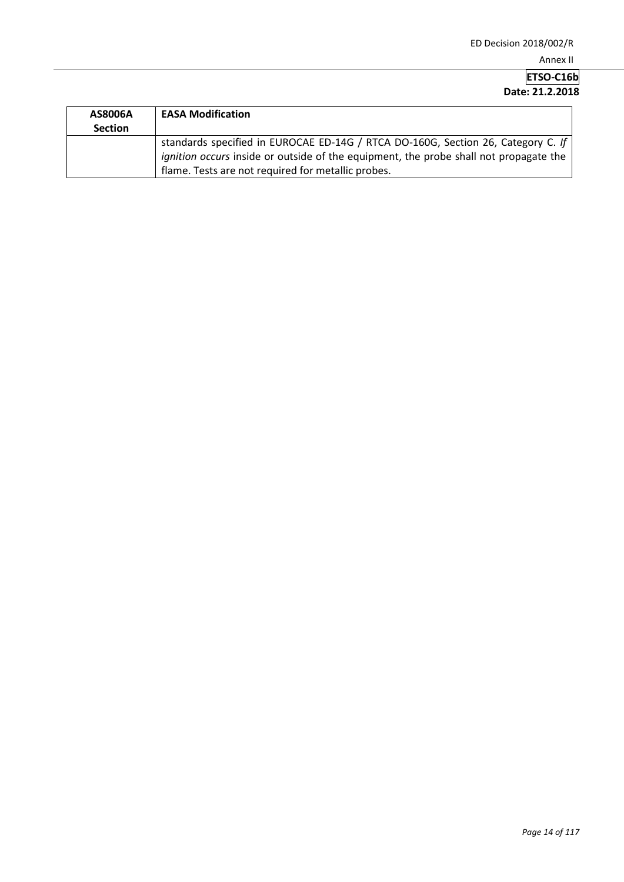| AS8006A        | <b>EASA Modification</b>                                                                                                                                                                                                        |
|----------------|---------------------------------------------------------------------------------------------------------------------------------------------------------------------------------------------------------------------------------|
| <b>Section</b> |                                                                                                                                                                                                                                 |
|                | standards specified in EUROCAE ED-14G / RTCA DO-160G, Section 26, Category C. If<br>ignition occurs inside or outside of the equipment, the probe shall not propagate the<br>flame. Tests are not required for metallic probes. |